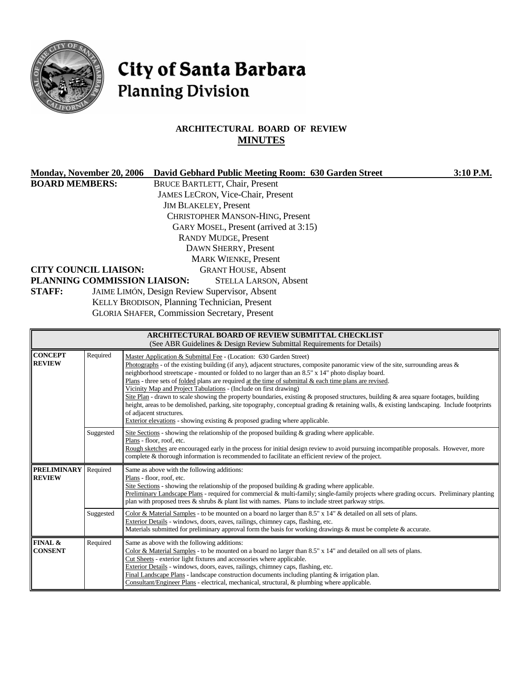

**FINAL & CONSENT**

Required Same as above with the following additions:

Cut Sheets - exterior light fixtures and accessories where applicable. Exterior Details - windows, doors, eaves, railings, chimney caps, flashing, etc.

# City of Santa Barbara **Planning Division**

# **ARCHITECTURAL BOARD OF REVIEW MINUTES**

| <b>Monday, November 20, 2006</b>    |                       | David Gebhard Public Meeting Room: 630 Garden Street                                                                                                                                                                                                                                                                                                                                                                                                                                                                                                                                                                                                                                                                                                                                                                                                                                                                                                                                                         | 3:10 P.M. |
|-------------------------------------|-----------------------|--------------------------------------------------------------------------------------------------------------------------------------------------------------------------------------------------------------------------------------------------------------------------------------------------------------------------------------------------------------------------------------------------------------------------------------------------------------------------------------------------------------------------------------------------------------------------------------------------------------------------------------------------------------------------------------------------------------------------------------------------------------------------------------------------------------------------------------------------------------------------------------------------------------------------------------------------------------------------------------------------------------|-----------|
| <b>BOARD MEMBERS:</b>               |                       | <b>BRUCE BARTLETT, Chair, Present</b>                                                                                                                                                                                                                                                                                                                                                                                                                                                                                                                                                                                                                                                                                                                                                                                                                                                                                                                                                                        |           |
|                                     |                       | JAMES LECRON, Vice-Chair, Present                                                                                                                                                                                                                                                                                                                                                                                                                                                                                                                                                                                                                                                                                                                                                                                                                                                                                                                                                                            |           |
|                                     |                       | <b>JIM BLAKELEY, Present</b>                                                                                                                                                                                                                                                                                                                                                                                                                                                                                                                                                                                                                                                                                                                                                                                                                                                                                                                                                                                 |           |
|                                     |                       | <b>CHRISTOPHER MANSON-HING, Present</b>                                                                                                                                                                                                                                                                                                                                                                                                                                                                                                                                                                                                                                                                                                                                                                                                                                                                                                                                                                      |           |
|                                     |                       | GARY MOSEL, Present (arrived at 3:15)                                                                                                                                                                                                                                                                                                                                                                                                                                                                                                                                                                                                                                                                                                                                                                                                                                                                                                                                                                        |           |
|                                     |                       | <b>RANDY MUDGE, Present</b>                                                                                                                                                                                                                                                                                                                                                                                                                                                                                                                                                                                                                                                                                                                                                                                                                                                                                                                                                                                  |           |
|                                     |                       | DAWN SHERRY, Present                                                                                                                                                                                                                                                                                                                                                                                                                                                                                                                                                                                                                                                                                                                                                                                                                                                                                                                                                                                         |           |
|                                     |                       | <b>MARK WIENKE, Present</b>                                                                                                                                                                                                                                                                                                                                                                                                                                                                                                                                                                                                                                                                                                                                                                                                                                                                                                                                                                                  |           |
| <b>CITY COUNCIL LIAISON:</b>        |                       | <b>GRANT HOUSE, Absent</b>                                                                                                                                                                                                                                                                                                                                                                                                                                                                                                                                                                                                                                                                                                                                                                                                                                                                                                                                                                                   |           |
|                                     |                       | PLANNING COMMISSION LIAISON:<br><b>STELLA LARSON, Absent</b>                                                                                                                                                                                                                                                                                                                                                                                                                                                                                                                                                                                                                                                                                                                                                                                                                                                                                                                                                 |           |
| <b>STAFF:</b>                       |                       | JAIME LIMÓN, Design Review Supervisor, Absent                                                                                                                                                                                                                                                                                                                                                                                                                                                                                                                                                                                                                                                                                                                                                                                                                                                                                                                                                                |           |
|                                     |                       | KELLY BRODISON, Planning Technician, Present                                                                                                                                                                                                                                                                                                                                                                                                                                                                                                                                                                                                                                                                                                                                                                                                                                                                                                                                                                 |           |
|                                     |                       | <b>GLORIA SHAFER, Commission Secretary, Present</b>                                                                                                                                                                                                                                                                                                                                                                                                                                                                                                                                                                                                                                                                                                                                                                                                                                                                                                                                                          |           |
|                                     |                       |                                                                                                                                                                                                                                                                                                                                                                                                                                                                                                                                                                                                                                                                                                                                                                                                                                                                                                                                                                                                              |           |
|                                     |                       | <b>ARCHITECTURAL BOARD OF REVIEW SUBMITTAL CHECKLIST</b><br>(See ABR Guidelines & Design Review Submittal Requirements for Details)                                                                                                                                                                                                                                                                                                                                                                                                                                                                                                                                                                                                                                                                                                                                                                                                                                                                          |           |
| <b>CONCEPT</b><br><b>REVIEW</b>     | Required<br>Suggested | Master Application & Submittal Fee - (Location: 630 Garden Street)<br>Photographs - of the existing building (if any), adjacent structures, composite panoramic view of the site, surrounding areas $\&$<br>neighborhood streetscape - mounted or folded to no larger than an 8.5" x 14" photo display board.<br>Plans - three sets of <u>folded</u> plans are required at the time of submittal $\&$ each time plans are revised.<br>Vicinity Map and Project Tabulations - (Include on first drawing)<br>Site Plan - drawn to scale showing the property boundaries, existing & proposed structures, building & area square footages, building<br>height, areas to be demolished, parking, site topography, conceptual grading & retaining walls, & existing landscaping. Include footprints<br>of adjacent structures.<br>Exterior elevations - showing existing & proposed grading where applicable.<br>Site Sections - showing the relationship of the proposed building $\&$ grading where applicable. |           |
|                                     |                       | Plans - floor, roof, etc.<br>Rough sketches are encouraged early in the process for initial design review to avoid pursuing incompatible proposals. However, more<br>complete & thorough information is recommended to facilitate an efficient review of the project.                                                                                                                                                                                                                                                                                                                                                                                                                                                                                                                                                                                                                                                                                                                                        |           |
| <b>PRELIMINARY</b><br><b>REVIEW</b> | Required              | Same as above with the following additions:<br>Plans - floor, roof, etc.<br>Site Sections - showing the relationship of the proposed building $\&$ grading where applicable.<br>Preliminary Landscape Plans - required for commercial & multi-family; single-family projects where grading occurs. Preliminary planting<br>plan with proposed trees $\&$ shrubs $\&$ plant list with names. Plans to include street parkway strips.                                                                                                                                                                                                                                                                                                                                                                                                                                                                                                                                                                          |           |
|                                     | Suggested             | Color & Material Samples - to be mounted on a board no larger than 8.5" x 14" & detailed on all sets of plans.<br>Exterior Details - windows, doors, eaves, railings, chimney caps, flashing, etc.<br>Materials submitted for preliminary approval form the basis for working drawings $\&$ must be complete $\&$ accurate.                                                                                                                                                                                                                                                                                                                                                                                                                                                                                                                                                                                                                                                                                  |           |

Color & Material Samples - to be mounted on a board no larger than 8.5" x 14" and detailed on all sets of plans.

Final Landscape Plans - landscape construction documents including planting & irrigation plan. Consultant/Engineer Plans - electrical, mechanical, structural, & plumbing where applicable.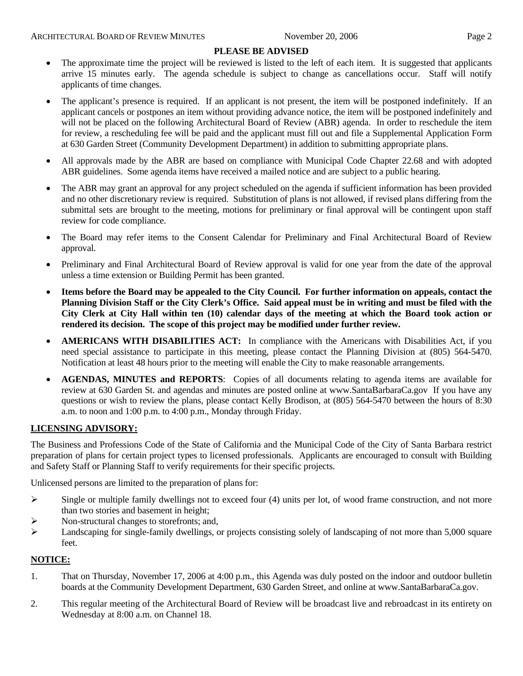#### **PLEASE BE ADVISED**

- The approximate time the project will be reviewed is listed to the left of each item. It is suggested that applicants arrive 15 minutes early. The agenda schedule is subject to change as cancellations occur. Staff will notify applicants of time changes.
- The applicant's presence is required. If an applicant is not present, the item will be postponed indefinitely. If an applicant cancels or postpones an item without providing advance notice, the item will be postponed indefinitely and will not be placed on the following Architectural Board of Review (ABR) agenda. In order to reschedule the item for review, a rescheduling fee will be paid and the applicant must fill out and file a Supplemental Application Form at 630 Garden Street (Community Development Department) in addition to submitting appropriate plans.
- All approvals made by the ABR are based on compliance with Municipal Code Chapter 22.68 and with adopted ABR guidelines. Some agenda items have received a mailed notice and are subject to a public hearing.
- The ABR may grant an approval for any project scheduled on the agenda if sufficient information has been provided and no other discretionary review is required. Substitution of plans is not allowed, if revised plans differing from the submittal sets are brought to the meeting, motions for preliminary or final approval will be contingent upon staff review for code compliance.
- The Board may refer items to the Consent Calendar for Preliminary and Final Architectural Board of Review approval.
- Preliminary and Final Architectural Board of Review approval is valid for one year from the date of the approval unless a time extension or Building Permit has been granted.
- **Items before the Board may be appealed to the City Council. For further information on appeals, contact the Planning Division Staff or the City Clerk's Office. Said appeal must be in writing and must be filed with the City Clerk at City Hall within ten (10) calendar days of the meeting at which the Board took action or rendered its decision. The scope of this project may be modified under further review.**
- **AMERICANS WITH DISABILITIES ACT:** In compliance with the Americans with Disabilities Act, if you need special assistance to participate in this meeting, please contact the Planning Division at (805) 564-5470. Notification at least 48 hours prior to the meeting will enable the City to make reasonable arrangements.
- **AGENDAS, MINUTES and REPORTS**: Copies of all documents relating to agenda items are available for review at 630 Garden St. and agendas and minutes are posted online at [www.SantaBarbaraCa.gov](http://www.santabarbaraca.gov/) If you have any questions or wish to review the plans, please contact Kelly Brodison, at (805) 564-5470 between the hours of 8:30 a.m. to noon and 1:00 p.m. to 4:00 p.m., Monday through Friday.

#### **LICENSING ADVISORY:**

The Business and Professions Code of the State of California and the Municipal Code of the City of Santa Barbara restrict preparation of plans for certain project types to licensed professionals. Applicants are encouraged to consult with Building and Safety Staff or Planning Staff to verify requirements for their specific projects.

Unlicensed persons are limited to the preparation of plans for:

- $\triangleright$  Single or multiple family dwellings not to exceed four (4) units per lot, of wood frame construction, and not more than two stories and basement in height;
- ¾ Non-structural changes to storefronts; and,
- $\blacktriangleright$  Landscaping for single-family dwellings, or projects consisting solely of landscaping of not more than 5,000 square feet.

#### **NOTICE:**

- 1. That on Thursday, November 17, 2006 at 4:00 p.m., this Agenda was duly posted on the indoor and outdoor bulletin boards at the Community Development Department, 630 Garden Street, and online at www.SantaBarbaraCa.gov.
- 2. This regular meeting of the Architectural Board of Review will be broadcast live and rebroadcast in its entirety on Wednesday at 8:00 a.m. on Channel 18.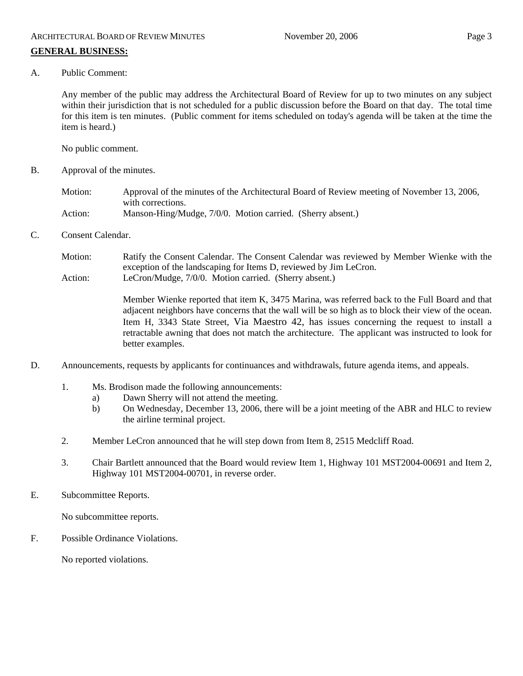A. Public Comment:

Any member of the public may address the Architectural Board of Review for up to two minutes on any subject within their jurisdiction that is not scheduled for a public discussion before the Board on that day. The total time for this item is ten minutes. (Public comment for items scheduled on today's agenda will be taken at the time the item is heard.)

No public comment.

B. Approval of the minutes.

Motion: Approval of the minutes of the Architectural Board of Review meeting of November 13, 2006, with corrections. Action: Manson-Hing/Mudge, 7/0/0. Motion carried. (Sherry absent.)

C. Consent Calendar.

Motion: Ratify the Consent Calendar. The Consent Calendar was reviewed by Member Wienke with the exception of the landscaping for Items D, reviewed by Jim LeCron. Action: LeCron/Mudge, 7/0/0. Motion carried. (Sherry absent.)

> Member Wienke reported that item K, 3475 Marina, was referred back to the Full Board and that adjacent neighbors have concerns that the wall will be so high as to block their view of the ocean. Item H, 3343 State Street, Via Maestro 42, has issues concerning the request to install a retractable awning that does not match the architecture. The applicant was instructed to look for better examples.

- D. Announcements, requests by applicants for continuances and withdrawals, future agenda items, and appeals.
	- 1. Ms. Brodison made the following announcements:
		- a) Dawn Sherry will not attend the meeting.
		- b) On Wednesday, December 13, 2006, there will be a joint meeting of the ABR and HLC to review the airline terminal project.
	- 2. Member LeCron announced that he will step down from Item 8, 2515 Medcliff Road.
	- 3. Chair Bartlett announced that the Board would review Item 1, Highway 101 MST2004-00691 and Item 2, Highway 101 MST2004-00701, in reverse order.
- E. Subcommittee Reports.

No subcommittee reports.

F. Possible Ordinance Violations.

No reported violations.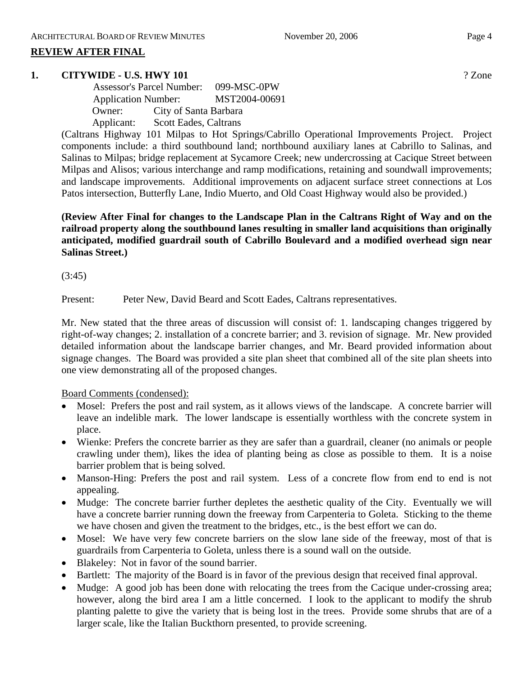# **REVIEW AFTER FINAL**

#### **1. CITYWIDE - U.S. HWY 101** ? Zone

|            | <b>Assessor's Parcel Number:</b> | 099-MSC-0PW |
|------------|----------------------------------|-------------|
|            | <b>Application Number:</b>       |             |
| Owner:     | City of Santa Barbara            |             |
| Applicant: | <b>Scott Eades, Caltrans</b>     |             |

(Caltrans Highway 101 Milpas to Hot Springs/Cabrillo Operational Improvements Project. Project components include: a third southbound land; northbound auxiliary lanes at Cabrillo to Salinas, and Salinas to Milpas; bridge replacement at Sycamore Creek; new undercrossing at Cacique Street between Milpas and Alisos; various interchange and ramp modifications, retaining and soundwall improvements; and landscape improvements. Additional improvements on adjacent surface street connections at Los Patos intersection, Butterfly Lane, Indio Muerto, and Old Coast Highway would also be provided.)

**(Review After Final for changes to the Landscape Plan in the Caltrans Right of Way and on the railroad property along the southbound lanes resulting in smaller land acquisitions than originally anticipated, modified guardrail south of Cabrillo Boulevard and a modified overhead sign near Salinas Street.)** 

(3:45)

Present: Peter New, David Beard and Scott Eades, Caltrans representatives.

Mr. New stated that the three areas of discussion will consist of: 1. landscaping changes triggered by right-of-way changes; 2. installation of a concrete barrier; and 3. revision of signage. Mr. New provided detailed information about the landscape barrier changes, and Mr. Beard provided information about signage changes. The Board was provided a site plan sheet that combined all of the site plan sheets into one view demonstrating all of the proposed changes.

#### Board Comments (condensed):

- Mosel: Prefers the post and rail system, as it allows views of the landscape. A concrete barrier will leave an indelible mark. The lower landscape is essentially worthless with the concrete system in place.
- Wienke: Prefers the concrete barrier as they are safer than a guardrail, cleaner (no animals or people crawling under them), likes the idea of planting being as close as possible to them. It is a noise barrier problem that is being solved.
- Manson-Hing: Prefers the post and rail system. Less of a concrete flow from end to end is not appealing.
- Mudge: The concrete barrier further depletes the aesthetic quality of the City. Eventually we will have a concrete barrier running down the freeway from Carpenteria to Goleta. Sticking to the theme we have chosen and given the treatment to the bridges, etc., is the best effort we can do.
- Mosel: We have very few concrete barriers on the slow lane side of the freeway, most of that is guardrails from Carpenteria to Goleta, unless there is a sound wall on the outside.
- Blakeley: Not in favor of the sound barrier.
- Bartlett: The majority of the Board is in favor of the previous design that received final approval.
- Mudge: A good job has been done with relocating the trees from the Cacique under-crossing area; however, along the bird area I am a little concerned. I look to the applicant to modify the shrub planting palette to give the variety that is being lost in the trees. Provide some shrubs that are of a larger scale, like the Italian Buckthorn presented, to provide screening.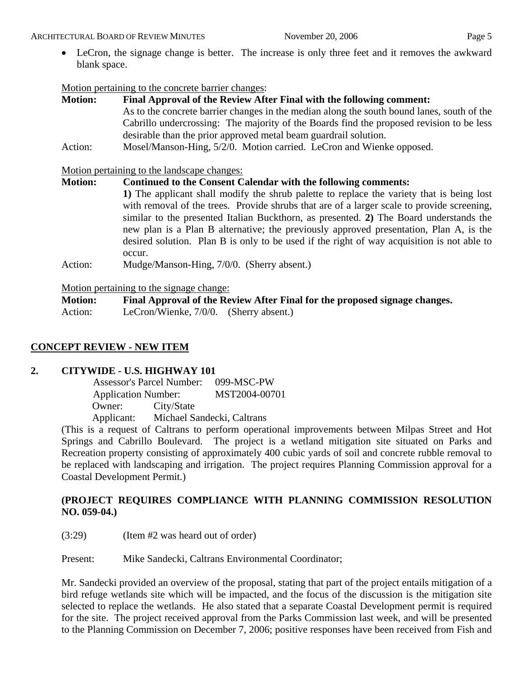#### ARCHITECTURAL BOARD OF REVIEW MINUTES November 20, 2006 Page 5

• LeCron, the signage change is better. The increase is only three feet and it removes the awkward blank space.

# Motion pertaining to the concrete barrier changes:

| <b>Motion:</b> | Final Approval of the Review After Final with the following comment:                       |  |  |
|----------------|--------------------------------------------------------------------------------------------|--|--|
|                | As to the concrete barrier changes in the median along the south bound lanes, south of the |  |  |
|                | Cabrillo undercrossing: The majority of the Boards find the proposed revision to be less   |  |  |
|                | desirable than the prior approved metal beam guardrail solution.                           |  |  |
| Action:        | Mosel/Manson-Hing, 5/2/0. Motion carried. LeCron and Wienke opposed.                       |  |  |

Motion pertaining to the landscape changes:

# **Motion: Continued to the Consent Calendar with the following comments:**

**1)** The applicant shall modify the shrub palette to replace the variety that is being lost with removal of the trees. Provide shrubs that are of a larger scale to provide screening, similar to the presented Italian Buckthorn, as presented. **2)** The Board understands the new plan is a Plan B alternative; the previously approved presentation, Plan A, is the desired solution. Plan B is only to be used if the right of way acquisition is not able to occur.

Action: Mudge/Manson-Hing, 7/0/0. (Sherry absent.)

# Motion pertaining to the signage change:

| <b>Motion:</b> |                                        | Final Approval of the Review After Final for the proposed signage changes. |
|----------------|----------------------------------------|----------------------------------------------------------------------------|
| Action:        | LeCron/Wienke, 7/0/0. (Sherry absent.) |                                                                            |

# **CONCEPT REVIEW - NEW ITEM**

# **2. CITYWIDE - U.S. HIGHWAY 101**

 Assessor's Parcel Number: 099-MSC-PW Application Number: MST2004-00701 Owner: City/State Applicant: Michael Sandecki, Caltrans

(This is a request of Caltrans to perform operational improvements between Milpas Street and Hot Springs and Cabrillo Boulevard. The project is a wetland mitigation site situated on Parks and Recreation property consisting of approximately 400 cubic yards of soil and concrete rubble removal to be replaced with landscaping and irrigation. The project requires Planning Commission approval for a Coastal Development Permit.)

# **(PROJECT REQUIRES COMPLIANCE WITH PLANNING COMMISSION RESOLUTION NO. 059-04.)**

(3:29) (Item #2 was heard out of order)

Present: Mike Sandecki, Caltrans Environmental Coordinator;

Mr. Sandecki provided an overview of the proposal, stating that part of the project entails mitigation of a bird refuge wetlands site which will be impacted, and the focus of the discussion is the mitigation site selected to replace the wetlands. He also stated that a separate Coastal Development permit is required for the site. The project received approval from the Parks Commission last week, and will be presented to the Planning Commission on December 7, 2006; positive responses have been received from Fish and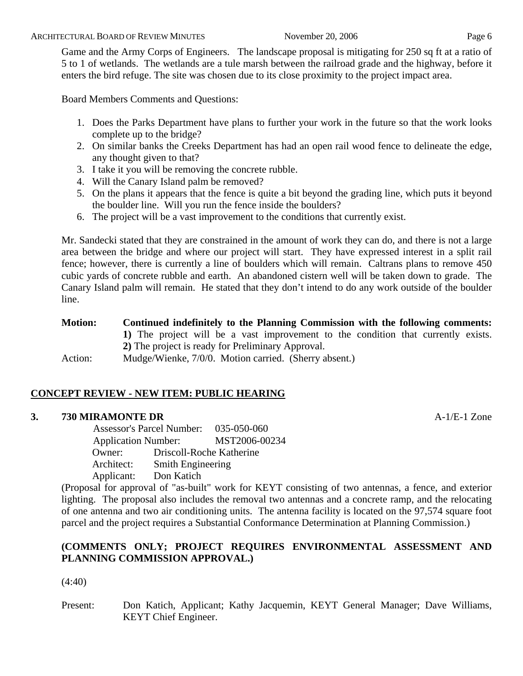Game and the Army Corps of Engineers. The landscape proposal is mitigating for 250 sq ft at a ratio of 5 to 1 of wetlands. The wetlands are a tule marsh between the railroad grade and the highway, before it enters the bird refuge. The site was chosen due to its close proximity to the project impact area.

Board Members Comments and Questions:

- 1. Does the Parks Department have plans to further your work in the future so that the work looks complete up to the bridge?
- 2. On similar banks the Creeks Department has had an open rail wood fence to delineate the edge, any thought given to that?
- 3. I take it you will be removing the concrete rubble.
- 4. Will the Canary Island palm be removed?
- 5. On the plans it appears that the fence is quite a bit beyond the grading line, which puts it beyond the boulder line. Will you run the fence inside the boulders?
- 6. The project will be a vast improvement to the conditions that currently exist.

Mr. Sandecki stated that they are constrained in the amount of work they can do, and there is not a large area between the bridge and where our project will start. They have expressed interest in a split rail fence; however, there is currently a line of boulders which will remain. Caltrans plans to remove 450 cubic yards of concrete rubble and earth. An abandoned cistern well will be taken down to grade. The Canary Island palm will remain. He stated that they don't intend to do any work outside of the boulder line.

**Motion: Continued indefinitely to the Planning Commission with the following comments: 1)** The project will be a vast improvement to the condition that currently exists. **2)** The project is ready for Preliminary Approval. Action: Mudge/Wienke, 7/0/0. Motion carried. (Sherry absent.)

# **CONCEPT REVIEW - NEW ITEM: PUBLIC HEARING**

# **3. 730 MIRAMONTE DR** A-1/E-1 Zone

 Assessor's Parcel Number: 035-050-060 Application Number: MST2006-00234 Owner: Driscoll-Roche Katherine Architect: Smith Engineering Applicant: Don Katich

(Proposal for approval of "as-built" work for KEYT consisting of two antennas, a fence, and exterior lighting. The proposal also includes the removal two antennas and a concrete ramp, and the relocating of one antenna and two air conditioning units. The antenna facility is located on the 97,574 square foot parcel and the project requires a Substantial Conformance Determination at Planning Commission.)

# **(COMMENTS ONLY; PROJECT REQUIRES ENVIRONMENTAL ASSESSMENT AND PLANNING COMMISSION APPROVAL.)**

# (4:40)

Present: Don Katich, Applicant; Kathy Jacquemin, KEYT General Manager; Dave Williams, KEYT Chief Engineer.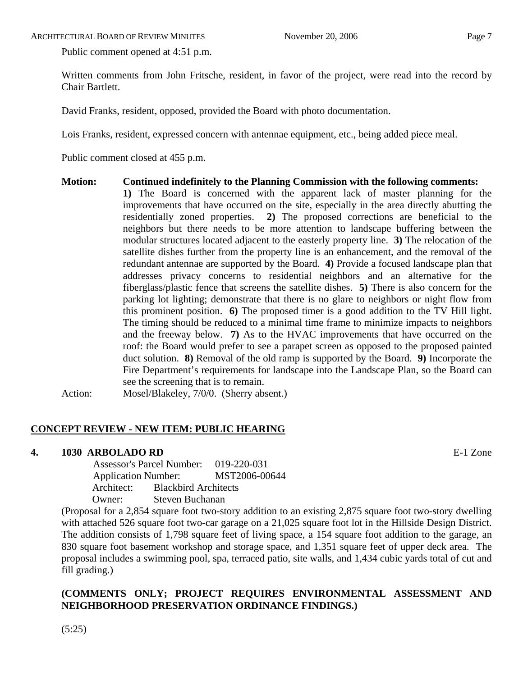Public comment opened at 4:51 p.m.

Written comments from John Fritsche, resident, in favor of the project, were read into the record by Chair Bartlett.

David Franks, resident, opposed, provided the Board with photo documentation.

Lois Franks, resident, expressed concern with antennae equipment, etc., being added piece meal.

Public comment closed at 455 p.m.

**Motion: Continued indefinitely to the Planning Commission with the following comments: 1)** The Board is concerned with the apparent lack of master planning for the improvements that have occurred on the site, especially in the area directly abutting the residentially zoned properties. **2)** The proposed corrections are beneficial to the neighbors but there needs to be more attention to landscape buffering between the modular structures located adjacent to the easterly property line. **3)** The relocation of the satellite dishes further from the property line is an enhancement, and the removal of the redundant antennae are supported by the Board. **4)** Provide a focused landscape plan that addresses privacy concerns to residential neighbors and an alternative for the fiberglass/plastic fence that screens the satellite dishes. **5)** There is also concern for the parking lot lighting; demonstrate that there is no glare to neighbors or night flow from this prominent position. **6)** The proposed timer is a good addition to the TV Hill light. The timing should be reduced to a minimal time frame to minimize impacts to neighbors and the freeway below. **7)** As to the HVAC improvements that have occurred on the roof: the Board would prefer to see a parapet screen as opposed to the proposed painted duct solution. **8)** Removal of the old ramp is supported by the Board. **9)** Incorporate the Fire Department's requirements for landscape into the Landscape Plan, so the Board can see the screening that is to remain.

Action: Mosel/Blakeley, 7/0/0. (Sherry absent.)

# **CONCEPT REVIEW - NEW ITEM: PUBLIC HEARING**

# **4. 1030 ARBOLADO RD** E-1 Zone

 Assessor's Parcel Number: 019-220-031 Application Number: MST2006-00644 Architect: Blackbird Architects Owner: Steven Buchanan

(Proposal for a 2,854 square foot two-story addition to an existing 2,875 square foot two-story dwelling with attached 526 square foot two-car garage on a 21,025 square foot lot in the Hillside Design District. The addition consists of 1,798 square feet of living space, a 154 square foot addition to the garage, an 830 square foot basement workshop and storage space, and 1,351 square feet of upper deck area. The proposal includes a swimming pool, spa, terraced patio, site walls, and 1,434 cubic yards total of cut and fill grading.)

# **(COMMENTS ONLY; PROJECT REQUIRES ENVIRONMENTAL ASSESSMENT AND NEIGHBORHOOD PRESERVATION ORDINANCE FINDINGS.)**

(5:25)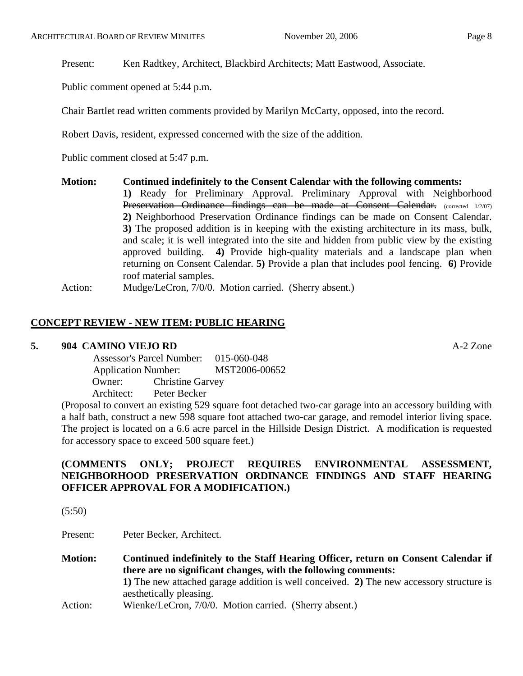Public comment opened at 5:44 p.m.

Chair Bartlet read written comments provided by Marilyn McCarty, opposed, into the record.

Robert Davis, resident, expressed concerned with the size of the addition.

Public comment closed at 5:47 p.m.

**Motion: Continued indefinitely to the Consent Calendar with the following comments: 1)** Ready for Preliminary Approval. Preliminary Approval with Neighborhood Preservation Ordinance findings can be made at Consent Calendar. (corrected 1/2/07) **2)** Neighborhood Preservation Ordinance findings can be made on Consent Calendar. **3)** The proposed addition is in keeping with the existing architecture in its mass, bulk, and scale; it is well integrated into the site and hidden from public view by the existing approved building. **4)** Provide high-quality materials and a landscape plan when returning on Consent Calendar. **5)** Provide a plan that includes pool fencing. **6)** Provide roof material samples.

# Action: Mudge/LeCron, 7/0/0. Motion carried. (Sherry absent.)

# **CONCEPT REVIEW - NEW ITEM: PUBLIC HEARING**

#### **5. 904 CAMINO VIEJO RD** A-2 Zone

|                            | <b>Assessor's Parcel Number:</b> | 015-060-048   |
|----------------------------|----------------------------------|---------------|
| <b>Application Number:</b> |                                  | MST2006-00652 |
| Owner:                     | <b>Christine Garvey</b>          |               |
| Architect:                 | Peter Becker                     |               |

(Proposal to convert an existing 529 square foot detached two-car garage into an accessory building with a half bath, construct a new 598 square foot attached two-car garage, and remodel interior living space. The project is located on a 6.6 acre parcel in the Hillside Design District. A modification is requested for accessory space to exceed 500 square feet.)

# **(COMMENTS ONLY; PROJECT REQUIRES ENVIRONMENTAL ASSESSMENT, NEIGHBORHOOD PRESERVATION ORDINANCE FINDINGS AND STAFF HEARING OFFICER APPROVAL FOR A MODIFICATION.)**

 $(5:50)$ 

Present: Peter Becker, Architect.

**Motion: Continued indefinitely to the Staff Hearing Officer, return on Consent Calendar if there are no significant changes, with the following comments: 1)** The new attached garage addition is well conceived. **2)** The new accessory structure is aesthetically pleasing. Action: Wienke/LeCron, 7/0/0. Motion carried. (Sherry absent.)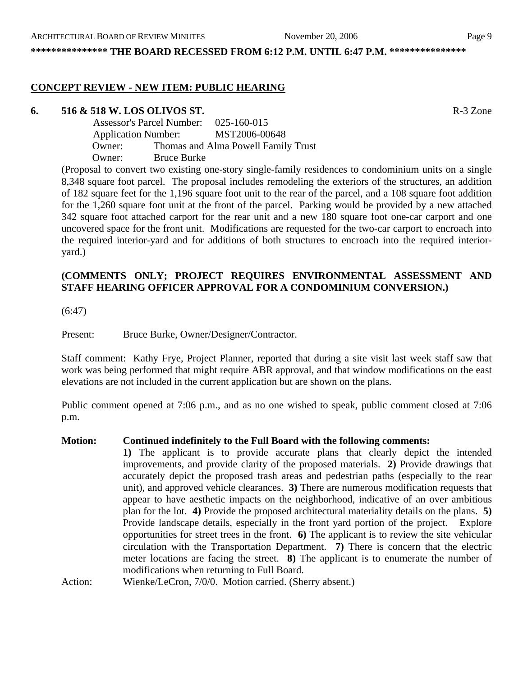**\*\*\*\*\*\*\*\*\*\*\*\*\*\*\* THE BOARD RECESSED FROM 6:12 P.M. UNTIL 6:47 P.M. \*\*\*\*\*\*\*\*\*\*\*\*\*\*\*** 

#### **CONCEPT REVIEW - NEW ITEM: PUBLIC HEARING**

#### **6. 516 & 518 W. LOS OLIVOS ST.** R-3 Zone

 Assessor's Parcel Number: 025-160-015 Application Number: MST2006-00648 Owner: Thomas and Alma Powell Family Trust Owner: Bruce Burke

(Proposal to convert two existing one-story single-family residences to condominium units on a single 8,348 square foot parcel. The proposal includes remodeling the exteriors of the structures, an addition of 182 square feet for the 1,196 square foot unit to the rear of the parcel, and a 108 square foot addition for the 1,260 square foot unit at the front of the parcel. Parking would be provided by a new attached 342 square foot attached carport for the rear unit and a new 180 square foot one-car carport and one uncovered space for the front unit. Modifications are requested for the two-car carport to encroach into the required interior-yard and for additions of both structures to encroach into the required interioryard.)

# **(COMMENTS ONLY; PROJECT REQUIRES ENVIRONMENTAL ASSESSMENT AND STAFF HEARING OFFICER APPROVAL FOR A CONDOMINIUM CONVERSION.)**

(6:47)

Present: Bruce Burke, Owner/Designer/Contractor.

Staff comment: Kathy Frye, Project Planner, reported that during a site visit last week staff saw that work was being performed that might require ABR approval, and that window modifications on the east elevations are not included in the current application but are shown on the plans.

Public comment opened at 7:06 p.m., and as no one wished to speak, public comment closed at 7:06 p.m.

#### **Motion: Continued indefinitely to the Full Board with the following comments:**

**1)** The applicant is to provide accurate plans that clearly depict the intended improvements, and provide clarity of the proposed materials. **2)** Provide drawings that accurately depict the proposed trash areas and pedestrian paths (especially to the rear unit), and approved vehicle clearances. **3)** There are numerous modification requests that appear to have aesthetic impacts on the neighborhood, indicative of an over ambitious plan for the lot. **4)** Provide the proposed architectural materiality details on the plans. **5)** Provide landscape details, especially in the front yard portion of the project. Explore opportunities for street trees in the front. **6)** The applicant is to review the site vehicular circulation with the Transportation Department. **7)** There is concern that the electric meter locations are facing the street. **8)** The applicant is to enumerate the number of modifications when returning to Full Board.

Action: Wienke/LeCron, 7/0/0. Motion carried. (Sherry absent.)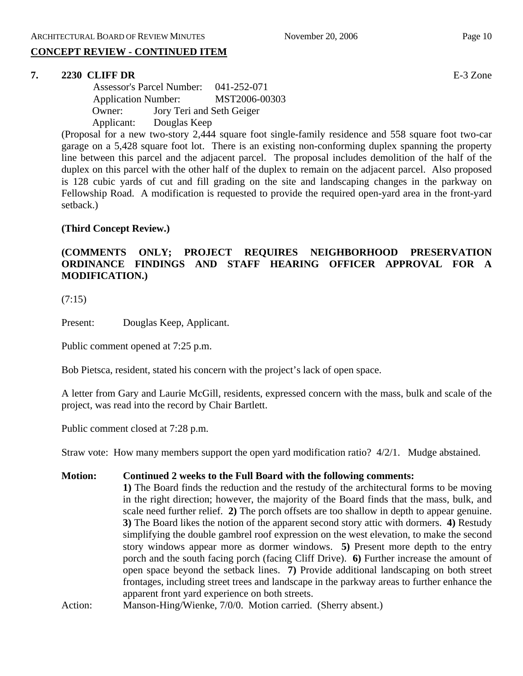# **CONCEPT REVIEW - CONTINUED ITEM**

#### **7. 2230 CLIFF DR** E-3 Zone

 Assessor's Parcel Number: 041-252-071 Application Number: MST2006-00303 Owner: Jory Teri and Seth Geiger Applicant: Douglas Keep

(Proposal for a new two-story 2,444 square foot single-family residence and 558 square foot two-car garage on a 5,428 square foot lot. There is an existing non-conforming duplex spanning the property line between this parcel and the adjacent parcel. The proposal includes demolition of the half of the duplex on this parcel with the other half of the duplex to remain on the adjacent parcel. Also proposed is 128 cubic yards of cut and fill grading on the site and landscaping changes in the parkway on Fellowship Road. A modification is requested to provide the required open-yard area in the front-yard setback.)

#### **(Third Concept Review.)**

# **(COMMENTS ONLY; PROJECT REQUIRES NEIGHBORHOOD PRESERVATION ORDINANCE FINDINGS AND STAFF HEARING OFFICER APPROVAL FOR A MODIFICATION.)**

(7:15)

Present: Douglas Keep, Applicant.

Public comment opened at 7:25 p.m.

Bob Pietsca, resident, stated his concern with the project's lack of open space.

A letter from Gary and Laurie McGill, residents, expressed concern with the mass, bulk and scale of the project, was read into the record by Chair Bartlett.

Public comment closed at 7:28 p.m.

Straw vote: How many members support the open yard modification ratio? 4/2/1. Mudge abstained.

- **Motion: Continued 2 weeks to the Full Board with the following comments:** 
	- **1)** The Board finds the reduction and the restudy of the architectural forms to be moving in the right direction; however, the majority of the Board finds that the mass, bulk, and scale need further relief. **2)** The porch offsets are too shallow in depth to appear genuine. **3)** The Board likes the notion of the apparent second story attic with dormers. **4)** Restudy simplifying the double gambrel roof expression on the west elevation, to make the second story windows appear more as dormer windows. **5)** Present more depth to the entry porch and the south facing porch (facing Cliff Drive). **6)** Further increase the amount of open space beyond the setback lines. **7)** Provide additional landscaping on both street frontages, including street trees and landscape in the parkway areas to further enhance the apparent front yard experience on both streets.
- Action: Manson-Hing/Wienke, 7/0/0. Motion carried. (Sherry absent.)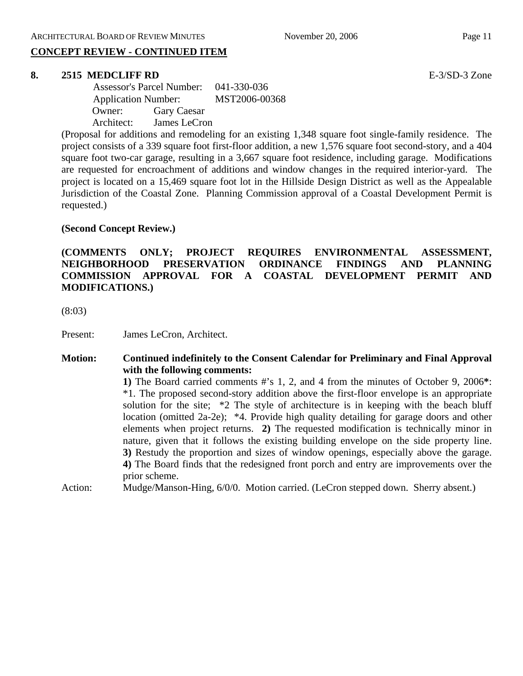# **CONCEPT REVIEW - CONTINUED ITEM**

#### **8. 2515 MEDCLIFF RD** E-3/SD-3 Zone

 Assessor's Parcel Number: 041-330-036 Application Number: MST2006-00368 Owner: Gary Caesar Architect: James LeCron

(Proposal for additions and remodeling for an existing 1,348 square foot single-family residence. The project consists of a 339 square foot first-floor addition, a new 1,576 square foot second-story, and a 404 square foot two-car garage, resulting in a 3,667 square foot residence, including garage. Modifications are requested for encroachment of additions and window changes in the required interior-yard. The project is located on a 15,469 square foot lot in the Hillside Design District as well as the Appealable Jurisdiction of the Coastal Zone. Planning Commission approval of a Coastal Development Permit is requested.)

#### **(Second Concept Review.)**

**(COMMENTS ONLY; PROJECT REQUIRES ENVIRONMENTAL ASSESSMENT, NEIGHBORHOOD PRESERVATION ORDINANCE FINDINGS AND PLANNING COMMISSION APPROVAL FOR A COASTAL DEVELOPMENT PERMIT AND MODIFICATIONS.)** 

(8:03)

Present: James LeCron, Architect.

#### **Motion: Continued indefinitely to the Consent Calendar for Preliminary and Final Approval with the following comments:**

**1)** The Board carried comments #'s 1, 2, and 4 from the minutes of October 9, 2006**\***: \*1. The proposed second-story addition above the first-floor envelope is an appropriate solution for the site; \*2 The style of architecture is in keeping with the beach bluff location (omitted 2a-2e); \*4. Provide high quality detailing for garage doors and other elements when project returns. **2)** The requested modification is technically minor in nature, given that it follows the existing building envelope on the side property line. **3)** Restudy the proportion and sizes of window openings, especially above the garage. **4)** The Board finds that the redesigned front porch and entry are improvements over the prior scheme.

Action: Mudge/Manson-Hing, 6/0/0. Motion carried. (LeCron stepped down. Sherry absent.)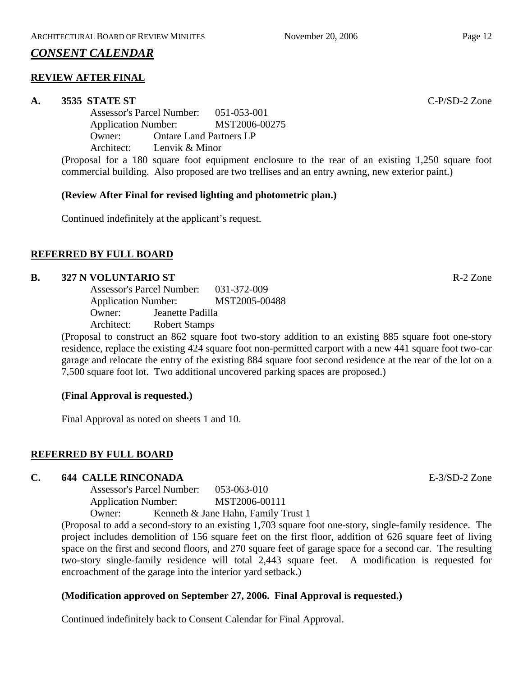# *CONSENT CALENDAR*

# **REVIEW AFTER FINAL**

#### **A. 3535 STATE ST** C-P/SD-2 Zone

Assessor's Parcel Number: 051-053-001 Application Number: MST2006-00275 Owner: Ontare Land Partners LP Architect: Lenvik & Minor

(Proposal for a 180 square foot equipment enclosure to the rear of an existing 1,250 square foot commercial building. Also proposed are two trellises and an entry awning, new exterior paint.)

# **(Review After Final for revised lighting and photometric plan.)**

Continued indefinitely at the applicant's request.

# **REFERRED BY FULL BOARD**

# **B. 327 N VOLUNTARIO ST** R-2 Zone

Assessor's Parcel Number: 031-372-009 Application Number: MST2005-00488 Owner: Jeanette Padilla Architect: Robert Stamps

(Proposal to construct an 862 square foot two-story addition to an existing 885 square foot one-story residence, replace the existing 424 square foot non-permitted carport with a new 441 square foot two-car garage and relocate the entry of the existing 884 square foot second residence at the rear of the lot on a 7,500 square foot lot. Two additional uncovered parking spaces are proposed.)

#### **(Final Approval is requested.)**

Final Approval as noted on sheets 1 and 10.

# **REFERRED BY FULL BOARD**

#### **C. 644 CALLE RINCONADA** E-3/SD-2 Zone

Assessor's Parcel Number: 053-063-010 Application Number: MST2006-00111

Owner: Kenneth & Jane Hahn, Family Trust 1

(Proposal to add a second-story to an existing 1,703 square foot one-story, single-family residence. The project includes demolition of 156 square feet on the first floor, addition of 626 square feet of living space on the first and second floors, and 270 square feet of garage space for a second car. The resulting two-story single-family residence will total 2,443 square feet. A modification is requested for encroachment of the garage into the interior yard setback.)

# **(Modification approved on September 27, 2006. Final Approval is requested.)**

Continued indefinitely back to Consent Calendar for Final Approval.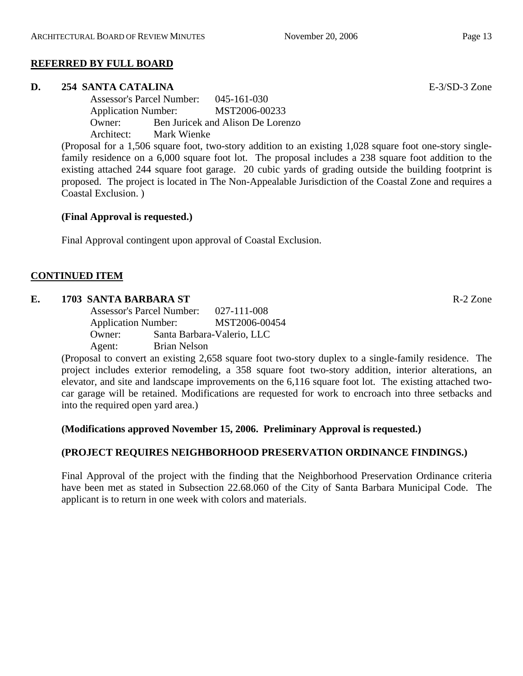#### **REFERRED BY FULL BOARD**

#### **D. 254 SANTA CATALINA** E-3/SD-3 Zone

Assessor's Parcel Number: 045-161-030 Application Number: MST2006-00233 Owner: Ben Juricek and Alison De Lorenzo Architect: Mark Wienke

(Proposal for a 1,506 square foot, two-story addition to an existing 1,028 square foot one-story singlefamily residence on a 6,000 square foot lot. The proposal includes a 238 square foot addition to the existing attached 244 square foot garage. 20 cubic yards of grading outside the building footprint is proposed. The project is located in The Non-Appealable Jurisdiction of the Coastal Zone and requires a Coastal Exclusion. )

#### **(Final Approval is requested.)**

Final Approval contingent upon approval of Coastal Exclusion.

# **CONTINUED ITEM**

#### **E. 1703 SANTA BARBARA ST** R-2 Zone

Assessor's Parcel Number: 027-111-008 Application Number: MST2006-00454 Owner: Santa Barbara-Valerio, LLC Agent: Brian Nelson

(Proposal to convert an existing 2,658 square foot two-story duplex to a single-family residence. The project includes exterior remodeling, a 358 square foot two-story addition, interior alterations, an elevator, and site and landscape improvements on the 6,116 square foot lot. The existing attached twocar garage will be retained. Modifications are requested for work to encroach into three setbacks and into the required open yard area.)

#### **(Modifications approved November 15, 2006. Preliminary Approval is requested.)**

# **(PROJECT REQUIRES NEIGHBORHOOD PRESERVATION ORDINANCE FINDINGS.)**

Final Approval of the project with the finding that the Neighborhood Preservation Ordinance criteria have been met as stated in Subsection 22.68.060 of the City of Santa Barbara Municipal Code. The applicant is to return in one week with colors and materials.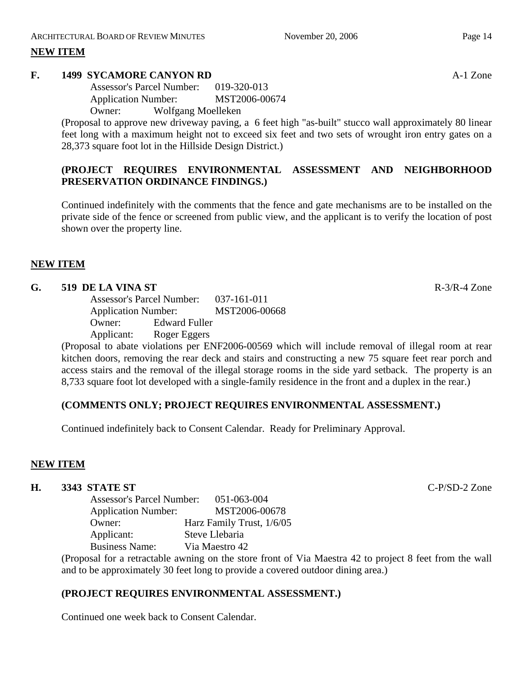# **NEW ITEM**

#### **F. 1499 SYCAMORE CANYON RD** A-1 Zone

Assessor's Parcel Number: 019-320-013 Application Number: MST2006-00674

Owner: Wolfgang Moelleken

(Proposal to approve new driveway paving, a 6 feet high "as-built" stucco wall approximately 80 linear feet long with a maximum height not to exceed six feet and two sets of wrought iron entry gates on a 28,373 square foot lot in the Hillside Design District.)

# **(PROJECT REQUIRES ENVIRONMENTAL ASSESSMENT AND NEIGHBORHOOD PRESERVATION ORDINANCE FINDINGS.)**

Continued indefinitely with the comments that the fence and gate mechanisms are to be installed on the private side of the fence or screened from public view, and the applicant is to verify the location of post shown over the property line.

# **NEW ITEM**

# **G. 519 DE LA VINA ST** R-3/R-4 Zone

Assessor's Parcel Number: 037-161-011 Application Number: MST2006-00668 Owner: Edward Fuller Applicant: Roger Eggers

(Proposal to abate violations per ENF2006-00569 which will include removal of illegal room at rear kitchen doors, removing the rear deck and stairs and constructing a new 75 square feet rear porch and access stairs and the removal of the illegal storage rooms in the side yard setback. The property is an 8,733 square foot lot developed with a single-family residence in the front and a duplex in the rear.)

#### **(COMMENTS ONLY; PROJECT REQUIRES ENVIRONMENTAL ASSESSMENT.)**

Continued indefinitely back to Consent Calendar. Ready for Preliminary Approval.

#### **NEW ITEM**

#### **H. 3343 STATE ST** C-P/SD-2 Zone

|  | <b>Assessor's Parcel Number:</b><br><b>Application Number:</b> |  | 051-063-004<br>MST2006-00678 |  |  |
|--|----------------------------------------------------------------|--|------------------------------|--|--|
|  |                                                                |  |                              |  |  |
|  | Owner:                                                         |  | Harz Family Trust, 1/6/05    |  |  |
|  | Applicant:                                                     |  | Steve Llebaria               |  |  |
|  | <b>Business Name:</b>                                          |  | Via Maestro 42               |  |  |
|  |                                                                |  |                              |  |  |

(Proposal for a retractable awning on the store front of Via Maestra 42 to project 8 feet from the wall and to be approximately 30 feet long to provide a covered outdoor dining area.)

# **(PROJECT REQUIRES ENVIRONMENTAL ASSESSMENT.)**

Continued one week back to Consent Calendar.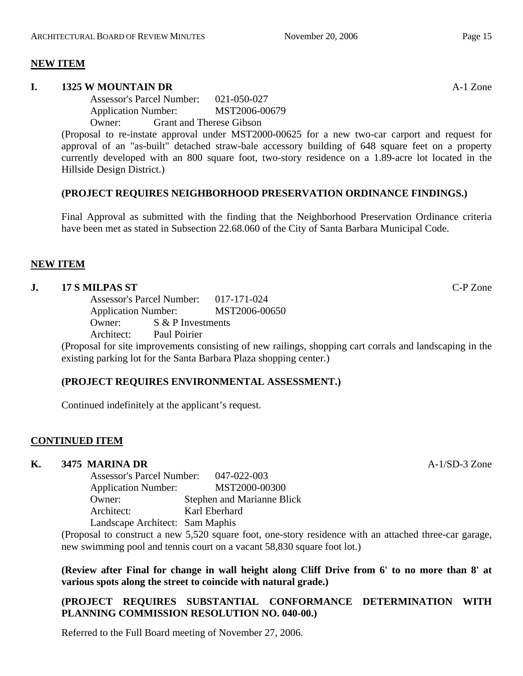#### **NEW ITEM**

#### **I. 1325 W MOUNTAIN DR** A-1 Zone

Assessor's Parcel Number: 021-050-027 Application Number: MST2006-00679

Owner: Grant and Therese Gibson

(Proposal to re-instate approval under MST2000-00625 for a new two-car carport and request for approval of an "as-built" detached straw-bale accessory building of 648 square feet on a property currently developed with an 800 square foot, two-story residence on a 1.89-acre lot located in the Hillside Design District.)

# **(PROJECT REQUIRES NEIGHBORHOOD PRESERVATION ORDINANCE FINDINGS.)**

Final Approval as submitted with the finding that the Neighborhood Preservation Ordinance criteria have been met as stated in Subsection 22.68.060 of the City of Santa Barbara Municipal Code.

#### **NEW ITEM**

# **J. 17 S MILPAS ST** C-P Zone

Assessor's Parcel Number: 017-171-024 Application Number: MST2006-00650 Owner:  $S \& P$  Investments

Architect: Paul Poirier

(Proposal for site improvements consisting of new railings, shopping cart corrals and landscaping in the existing parking lot for the Santa Barbara Plaza shopping center.)

#### **(PROJECT REQUIRES ENVIRONMENTAL ASSESSMENT.)**

Continued indefinitely at the applicant's request.

#### **CONTINUED ITEM**

#### **K. 3475 MARINA DR** A-1/SD-3 Zone

Assessor's Parcel Number: 047-022-003 Application Number: MST2000-00300 Owner: Stephen and Marianne Blick Architect: Karl Eberhard Landscape Architect: Sam Maphis

(Proposal to construct a new 5,520 square foot, one-story residence with an attached three-car garage, new swimming pool and tennis court on a vacant 58,830 square foot lot.)

**(Review after Final for change in wall height along Cliff Drive from 6' to no more than 8' at various spots along the street to coincide with natural grade.)** 

# **(PROJECT REQUIRES SUBSTANTIAL CONFORMANCE DETERMINATION WITH PLANNING COMMISSION RESOLUTION NO. 040-00.)**

Referred to the Full Board meeting of November 27, 2006.